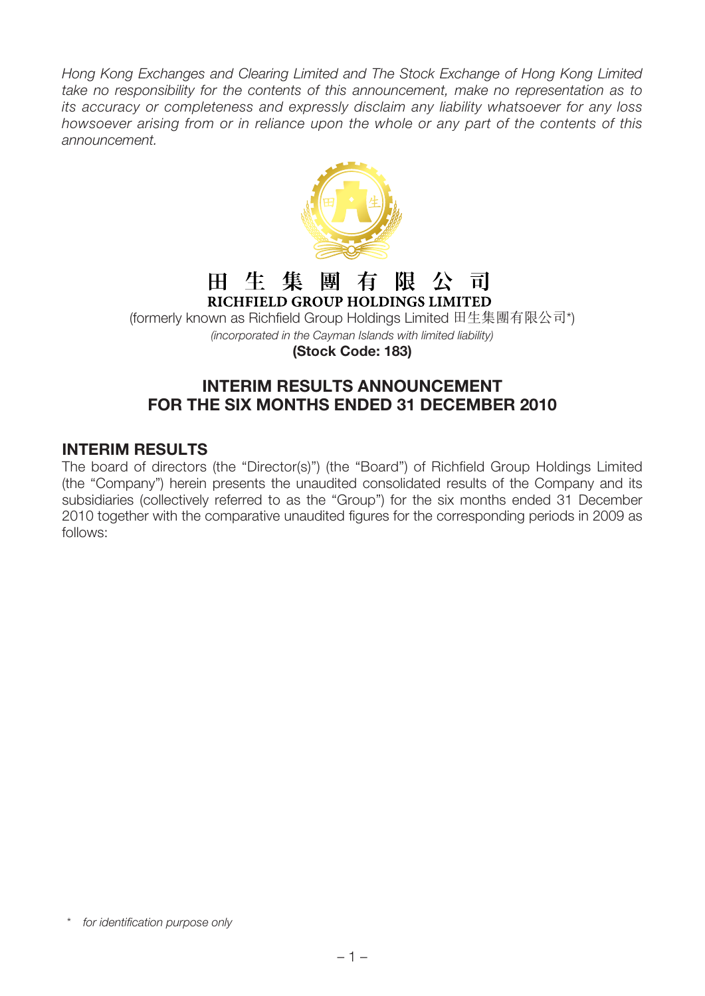Hong Kong Exchanges and Clearing Limited and The Stock Exchange of Hong Kong Limited take no responsibility for the contents of this announcement, make no representation as to its accuracy or completeness and expressly disclaim any liability whatsoever for any loss howsoever arising from or in reliance upon the whole or any part of the contents of this announcement.



#### 田 生 集 團 有 阻 一公一司 RICHFIELD GROUP HOLDINGS LIMITED

(formerly known as Richfield Group Holdings Limited 田生集團有限公司\*) (incorporated in the Cayman Islands with limited liability)

**(Stock Code: 183)**

# **INTERIM RESULTS ANNOUNCEMENT FOR THE SIX MONTHS ENDED 31 DECEMBER 2010**

# **INTERIM RESULTS**

The board of directors (the "Director(s)") (the "Board") of Richfield Group Holdings Limited (the "Company") herein presents the unaudited consolidated results of the Company and its subsidiaries (collectively referred to as the "Group") for the six months ended 31 December 2010 together with the comparative unaudited figures for the corresponding periods in 2009 as follows:

<sup>\*</sup> for identification purpose only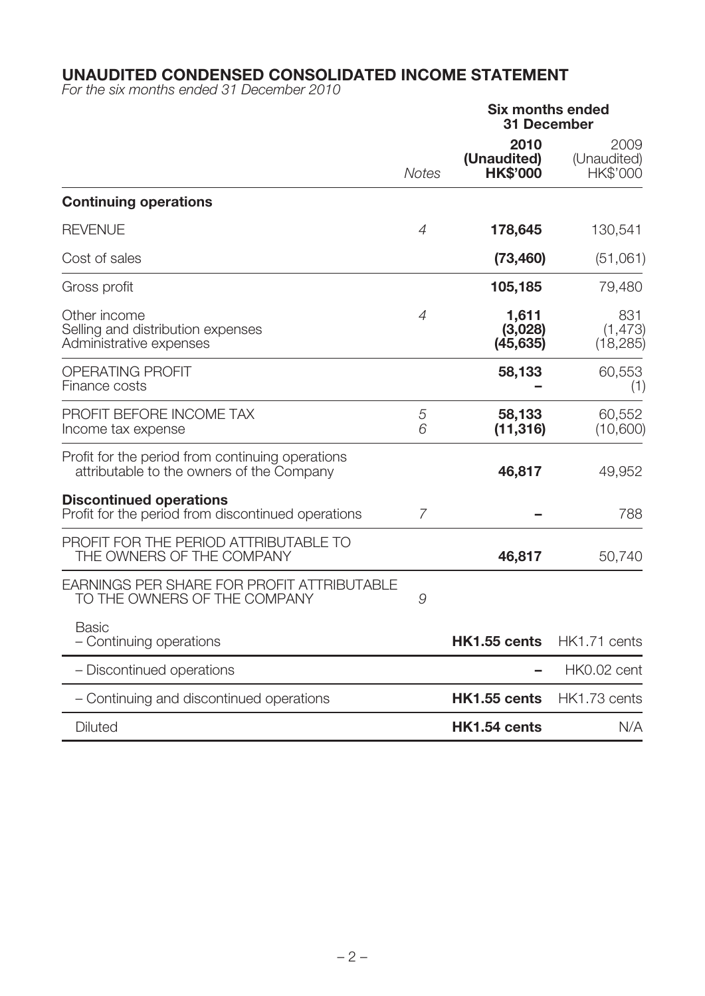#### **UNAUDITED CONDENSED CONSOLIDATED INCOME STATEMENT**

For the six months ended 31 December 2010

|                                                                                               |                | <b>Six months ended</b><br><b>31 December</b> |                                 |
|-----------------------------------------------------------------------------------------------|----------------|-----------------------------------------------|---------------------------------|
|                                                                                               | <b>Notes</b>   | 2010<br>(Unaudited)<br><b>HK\$'000</b>        | 2009<br>(Unaudited)<br>HK\$'000 |
| <b>Continuing operations</b>                                                                  |                |                                               |                                 |
| <b>REVENUE</b>                                                                                | $\overline{4}$ | 178,645                                       | 130,541                         |
| Cost of sales                                                                                 |                | (73, 460)                                     | (51,061)                        |
| Gross profit                                                                                  |                | 105,185                                       | 79,480                          |
| Other income<br>Selling and distribution expenses<br>Administrative expenses                  | $\overline{4}$ | 1,611<br>(3,028)<br>(45, 635)                 | 831<br>(1, 473)<br>(18, 285)    |
| <b>OPERATING PROFIT</b><br>Finance costs                                                      |                | 58,133                                        | 60,553<br>(1)                   |
| PROFIT BEFORE INCOME TAX<br>Income tax expense                                                | 5<br>6         | 58,133<br>(11, 316)                           | 60,552<br>(10,600)              |
| Profit for the period from continuing operations<br>attributable to the owners of the Company |                | 46,817                                        | 49,952                          |
| <b>Discontinued operations</b><br>Profit for the period from discontinued operations          | $\overline{7}$ |                                               | 788                             |
| PROFIT FOR THE PERIOD ATTRIBUTABLE TO<br>THE OWNERS OF THE COMPANY                            |                | 46,817                                        | 50,740                          |
| <b>EARNINGS PER SHARE FOR PROFIT ATTRIBUTABLE</b><br>TO THE OWNERS OF THE COMPANY             | 9              |                                               |                                 |
| <b>Basic</b><br>- Continuing operations                                                       |                | HK1.55 cents                                  | HK1.71 cents                    |
| - Discontinued operations                                                                     |                |                                               | HK0.02 cent                     |
| - Continuing and discontinued operations                                                      |                | HK1.55 cents                                  | HK1.73 cents                    |
| <b>Diluted</b>                                                                                |                | HK1.54 cents                                  | N/A                             |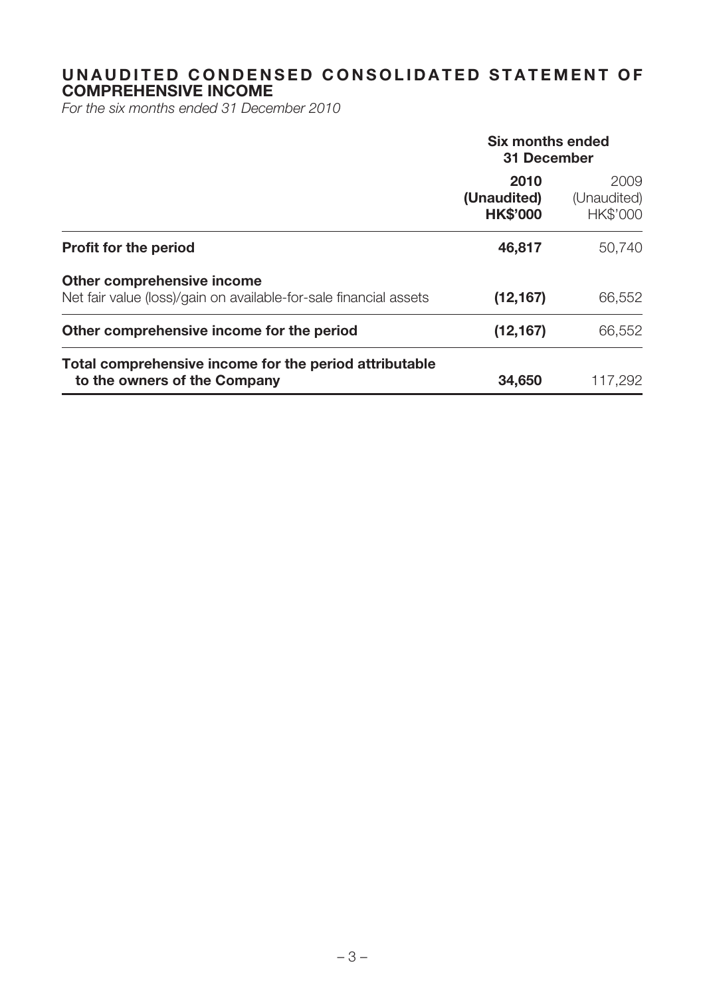# **UNAUDITED CONDENSED CONSOLIDATED STATEMENT OF COMPREHENSIVE INCOME**

For the six months ended 31 December 2010

|                                                                                                 | <b>Six months ended</b><br>31 December |                                 |  |
|-------------------------------------------------------------------------------------------------|----------------------------------------|---------------------------------|--|
|                                                                                                 | 2010<br>(Unaudited)<br><b>HK\$'000</b> | 2009<br>(Unaudited)<br>HK\$'000 |  |
| <b>Profit for the period</b>                                                                    | 46,817                                 | 50,740                          |  |
| Other comprehensive income<br>Net fair value (loss)/gain on available-for-sale financial assets | (12, 167)                              | 66,552                          |  |
| Other comprehensive income for the period                                                       | (12, 167)                              | 66,552                          |  |
| Total comprehensive income for the period attributable<br>to the owners of the Company          | 34,650                                 | 117,292                         |  |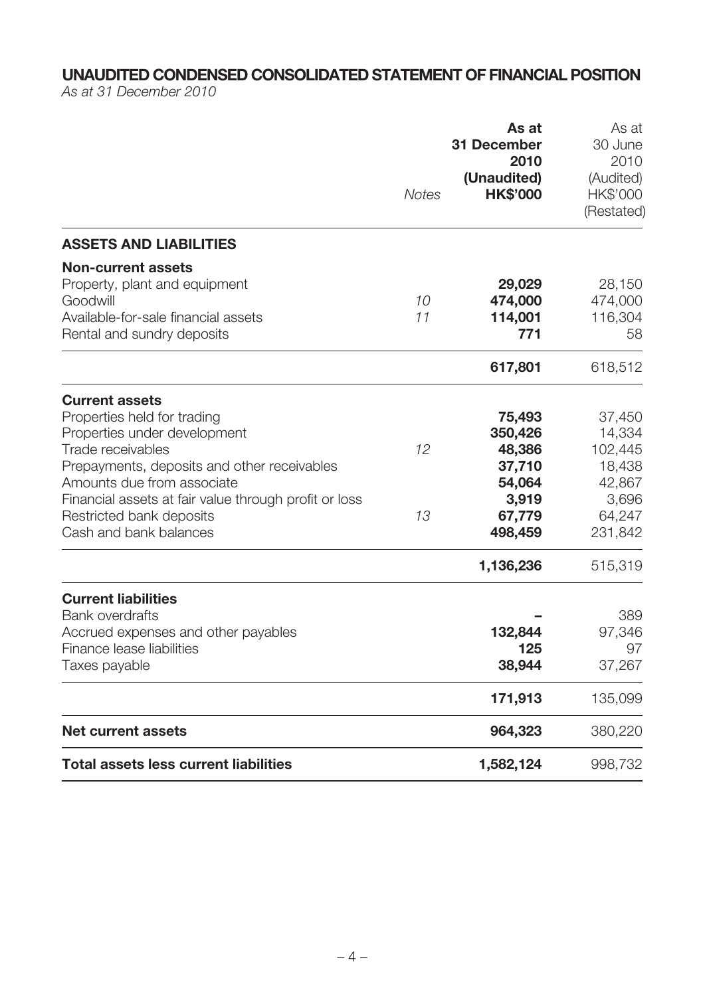# **UNAUDITED CONDENSED CONSOLIDATED STATEMENT OF FINANCIAL POSITION**

As at 31 December 2010

|                                                                                                                                                                                                                                                                                                       | <b>Notes</b> | As at<br><b>31 December</b><br>2010<br>(Unaudited)<br><b>HK\$'000</b>                      | As at<br>30 June<br>2010<br>(Audited)<br>HK\$'000<br>(Restated)                          |
|-------------------------------------------------------------------------------------------------------------------------------------------------------------------------------------------------------------------------------------------------------------------------------------------------------|--------------|--------------------------------------------------------------------------------------------|------------------------------------------------------------------------------------------|
| <b>ASSETS AND LIABILITIES</b>                                                                                                                                                                                                                                                                         |              |                                                                                            |                                                                                          |
| <b>Non-current assets</b><br>Property, plant and equipment<br>Goodwill<br>Available-for-sale financial assets<br>Rental and sundry deposits                                                                                                                                                           | 10<br>11     | 29,029<br>474,000<br>114,001<br>771                                                        | 28,150<br>474,000<br>116,304<br>58                                                       |
|                                                                                                                                                                                                                                                                                                       |              | 617,801                                                                                    | 618,512                                                                                  |
| <b>Current assets</b><br>Properties held for trading<br>Properties under development<br>Trade receivables<br>Prepayments, deposits and other receivables<br>Amounts due from associate<br>Financial assets at fair value through profit or loss<br>Restricted bank deposits<br>Cash and bank balances | 12<br>13     | 75,493<br>350,426<br>48,386<br>37,710<br>54,064<br>3,919<br>67,779<br>498,459<br>1,136,236 | 37,450<br>14,334<br>102,445<br>18,438<br>42,867<br>3,696<br>64,247<br>231,842<br>515,319 |
| <b>Current liabilities</b><br><b>Bank overdrafts</b><br>Accrued expenses and other payables<br>Finance lease liabilities<br>Taxes payable                                                                                                                                                             |              | 132,844<br>125<br>38,944<br>171,913                                                        | 389<br>97,346<br>97<br>37,267<br>135,099                                                 |
| <b>Net current assets</b>                                                                                                                                                                                                                                                                             |              | 964,323                                                                                    | 380,220                                                                                  |
| <b>Total assets less current liabilities</b>                                                                                                                                                                                                                                                          |              | 1,582,124                                                                                  | 998,732                                                                                  |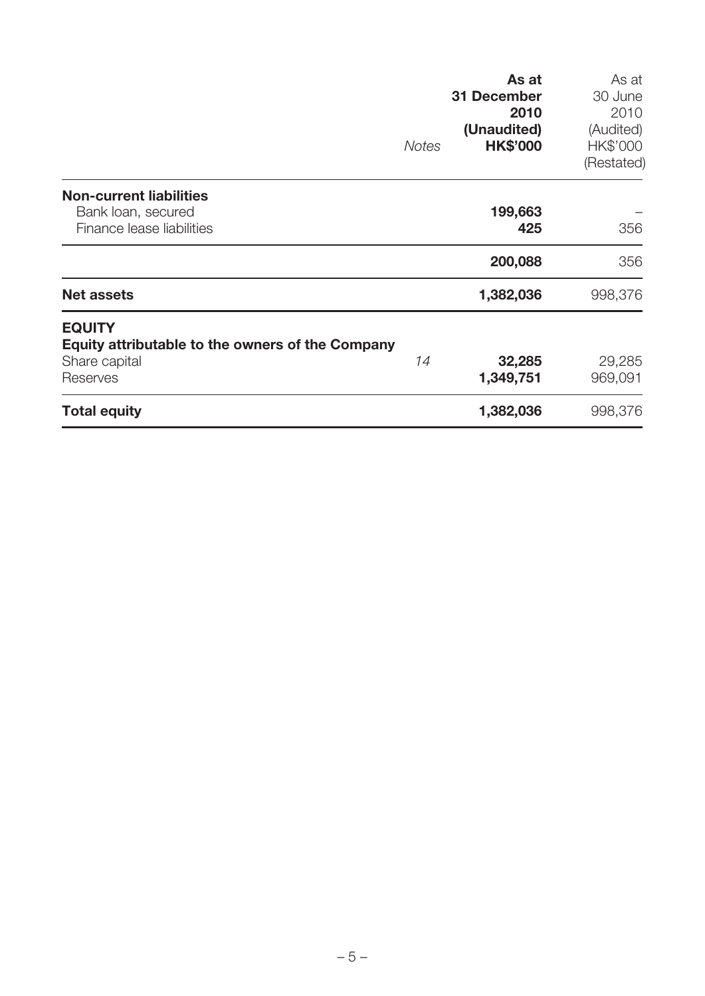|                                                                                                | <b>Notes</b> | As at<br><b>31 December</b><br>2010<br>(Unaudited)<br><b>HK\$'000</b> | As at<br>30 June<br>2010<br>(Audited)<br>HK\$'000<br>(Restated) |
|------------------------------------------------------------------------------------------------|--------------|-----------------------------------------------------------------------|-----------------------------------------------------------------|
| <b>Non-current liabilities</b><br>Bank loan, secured<br>Finance lease liabilities              |              | 199,663<br>425                                                        | 356                                                             |
|                                                                                                |              | 200,088                                                               | 356                                                             |
| <b>Net assets</b>                                                                              |              | 1,382,036                                                             | 998,376                                                         |
| <b>EQUITY</b><br>Equity attributable to the owners of the Company<br>Share capital<br>Reserves | 14           | 32,285<br>1,349,751                                                   | 29,285<br>969,091                                               |
| <b>Total equity</b>                                                                            |              | 1,382,036                                                             | 998,376                                                         |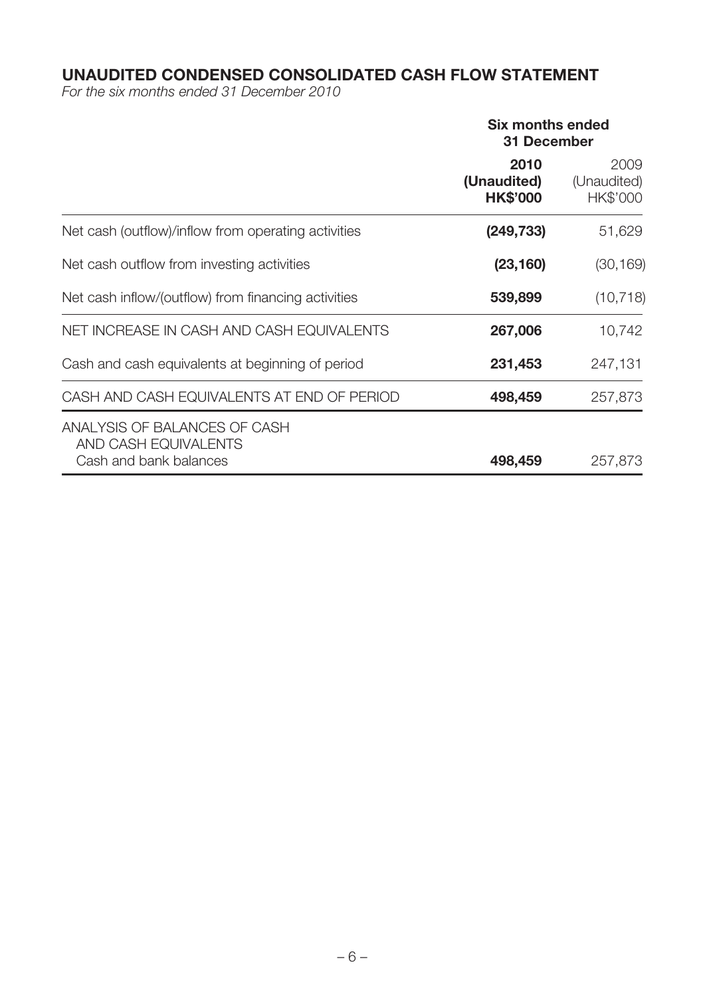# **UNAUDITED CONDENSED CONSOLIDATED CASH FLOW STATEMENT**

For the six months ended 31 December 2010

|                                                                                | <b>Six months ended</b><br><b>31 December</b> |                                 |  |
|--------------------------------------------------------------------------------|-----------------------------------------------|---------------------------------|--|
|                                                                                | 2010<br>(Unaudited)<br><b>HK\$'000</b>        | 2009<br>(Unaudited)<br>HK\$'000 |  |
| Net cash (outflow)/inflow from operating activities                            | (249, 733)                                    | 51,629                          |  |
| Net cash outflow from investing activities                                     | (23, 160)                                     | (30, 169)                       |  |
| Net cash inflow/(outflow) from financing activities                            | 539,899                                       | (10, 718)                       |  |
| NET INCREASE IN CASH AND CASH EQUIVALENTS                                      | 267,006                                       | 10,742                          |  |
| Cash and cash equivalents at beginning of period                               | 231,453                                       | 247,131                         |  |
| CASH AND CASH EQUIVALENTS AT END OF PERIOD                                     | 498,459                                       | 257,873                         |  |
| ANALYSIS OF BALANCES OF CASH<br>AND CASH EQUIVALENTS<br>Cash and bank balances | 498,459                                       | 257,873                         |  |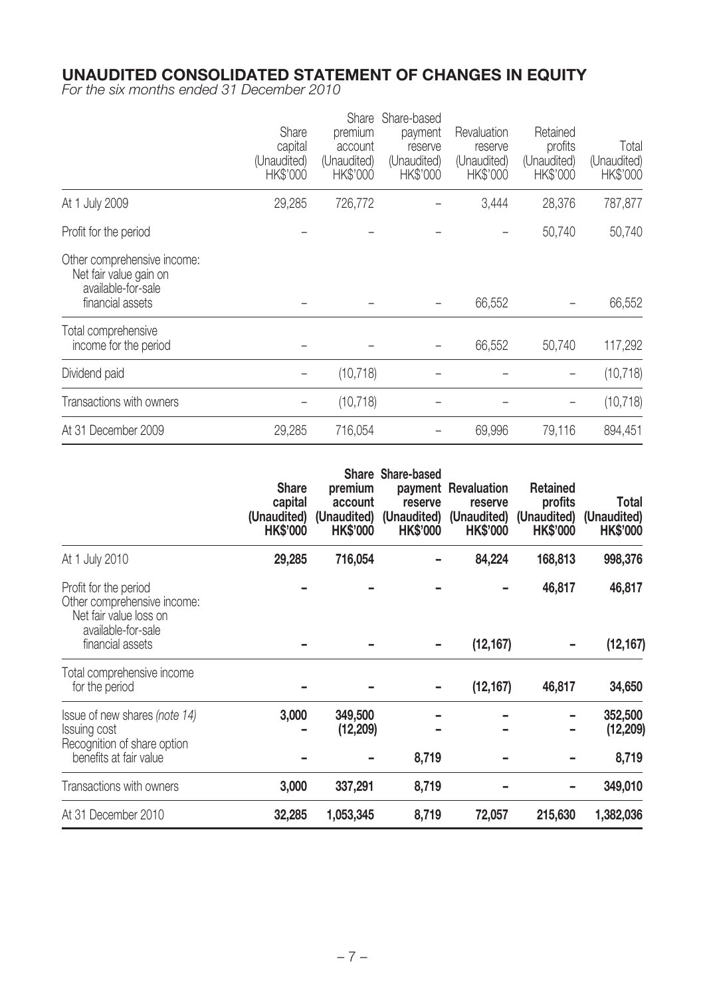### **UNAUDITED CONSOLIDATED STATEMENT OF CHANGES IN EQUITY**

For the six months ended 31 December 2010

|                                                                                                 | Share<br>capital<br>(Unaudited)<br>HK\$'000 | Share<br>premium<br>account<br>(Unaudited)<br>HK\$'000 | Share-based<br>payment<br>reserve<br>(Unaudited)<br>HK\$'000 | Revaluation<br>reserve<br>(Unaudited)<br>HK\$'000 | Retained<br>profits<br>(Unaudited)<br><b>HK\$'000</b> | Total<br>(Unaudited)<br>HK\$'000 |
|-------------------------------------------------------------------------------------------------|---------------------------------------------|--------------------------------------------------------|--------------------------------------------------------------|---------------------------------------------------|-------------------------------------------------------|----------------------------------|
| At 1 July 2009                                                                                  | 29,285                                      | 726,772                                                |                                                              | 3,444                                             | 28,376                                                | 787,877                          |
| Profit for the period                                                                           |                                             |                                                        |                                                              |                                                   | 50,740                                                | 50,740                           |
| Other comprehensive income:<br>Net fair value gain on<br>available-for-sale<br>financial assets |                                             |                                                        |                                                              | 66,552                                            |                                                       | 66,552                           |
| Total comprehensive<br>income for the period                                                    |                                             |                                                        |                                                              | 66,552                                            | 50,740                                                | 117,292                          |
| Dividend paid                                                                                   |                                             | (10, 718)                                              |                                                              |                                                   |                                                       | (10, 718)                        |
| Transactions with owners                                                                        |                                             | (10, 718)                                              |                                                              |                                                   |                                                       | (10, 718)                        |
| At 31 December 2009                                                                             | 29,285                                      | 716,054                                                |                                                              | 69,996                                            | 79,116                                                | 894,451                          |

|                                                                                                        | <b>Share</b><br>capital<br>(Unaudited)<br><b>HK\$'000</b> | <b>Share</b><br>premium<br>account<br>(Unaudited)<br><b>HK\$'000</b> | <b>Share-based</b><br>reserve<br>(Unaudited)<br><b>HK\$'000</b> | payment Revaluation<br>reserve<br>(Unaudited)<br><b>HK\$'000</b> | <b>Retained</b><br>profits<br>(Unaudited)<br><b>HK\$'000</b> | Total<br>(Unaudited)<br><b>HK\$'000</b> |
|--------------------------------------------------------------------------------------------------------|-----------------------------------------------------------|----------------------------------------------------------------------|-----------------------------------------------------------------|------------------------------------------------------------------|--------------------------------------------------------------|-----------------------------------------|
| At 1 July 2010                                                                                         | 29,285                                                    | 716,054                                                              |                                                                 | 84,224                                                           | 168,813                                                      | 998,376                                 |
| Profit for the period<br>Other comprehensive income:<br>Net fair value loss on<br>available-for-sale   |                                                           |                                                                      |                                                                 |                                                                  | 46,817                                                       | 46,817                                  |
| financial assets                                                                                       |                                                           |                                                                      |                                                                 | (12, 167)                                                        |                                                              | (12, 167)                               |
| Total comprehensive income<br>for the period                                                           |                                                           |                                                                      |                                                                 | (12, 167)                                                        | 46,817                                                       | 34,650                                  |
| Issue of new shares (note 14)<br>Issuing cost<br>Recognition of share option<br>benefits at fair value | 3,000                                                     | 349,500<br>(12, 209)                                                 | 8,719                                                           |                                                                  |                                                              | 352,500<br>(12, 209)<br>8,719           |
| Transactions with owners                                                                               | 3,000                                                     | 337,291                                                              | 8,719                                                           |                                                                  |                                                              | 349,010                                 |
| At 31 December 2010                                                                                    | 32,285                                                    | 1,053,345                                                            | 8,719                                                           | 72,057                                                           | 215,630                                                      | 1,382,036                               |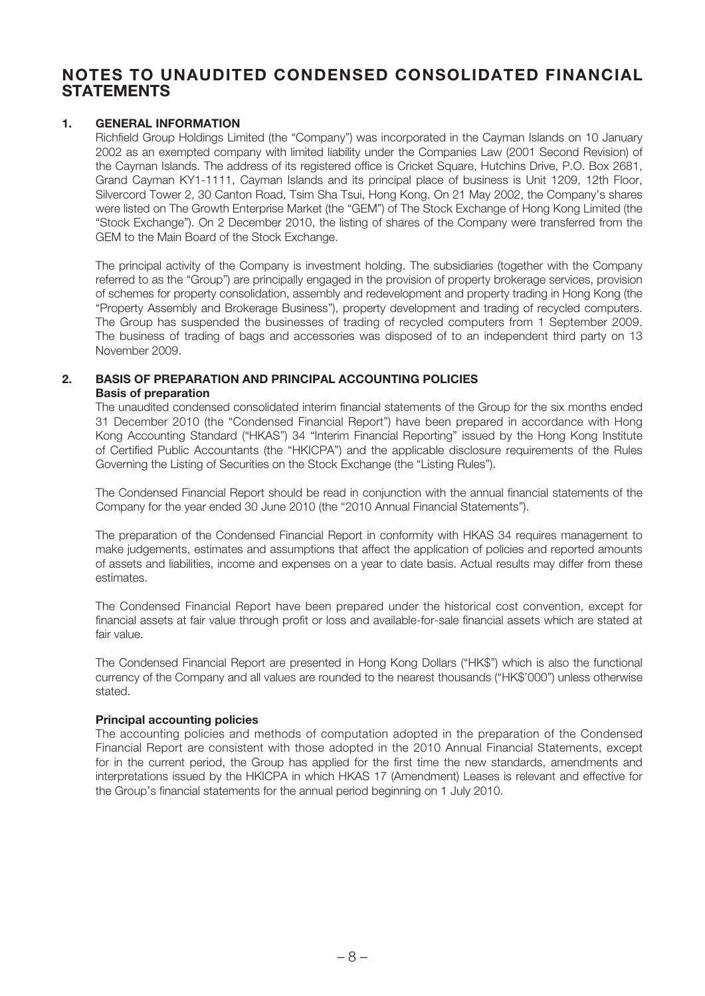### **NOTES TO UNAUDITED CONDENSED CONSOLIDATED FINANCIAL STATEMENTS**

#### **1. GENERAL INFORMATION**

Richfield Group Holdings Limited (the "Company") was incorporated in the Cayman Islands on 10 January 2002 as an exempted company with limited liability under the Companies Law (2001 Second Revision) of the Cayman Islands. The address of its registered office is Cricket Square, Hutchins Drive, P.O. Box 2681, Grand Cayman KY1-1111, Cayman Islands and its principal place of business is Unit 1209, 12th Floor, Silvercord Tower 2, 30 Canton Road, Tsim Sha Tsui, Hong Kong. On 21 May 2002, the Company's shares were listed on The Growth Enterprise Market (the "GEM") of The Stock Exchange of Hong Kong Limited (the "Stock Exchange"). On 2 December 2010, the listing of shares of the Company were transferred from the GEM to the Main Board of the Stock Exchange.

The principal activity of the Company is investment holding. The subsidiaries (together with the Company referred to as the "Group") are principally engaged in the provision of property brokerage services, provision of schemes for property consolidation, assembly and redevelopment and property trading in Hong Kong (the "Property Assembly and Brokerage Business"), property development and trading of recycled computers. The Group has suspended the businesses of trading of recycled computers from 1 September 2009. The business of trading of bags and accessories was disposed of to an independent third party on 13 November 2009.

#### **2. BASIS OF PREPARATION AND PRINCIPAL ACCOUNTING POLICIES Basis of preparation**

The unaudited condensed consolidated interim financial statements of the Group for the six months ended 31 December 2010 (the "Condensed Financial Report") have been prepared in accordance with Hong Kong Accounting Standard ("HKAS") 34 "Interim Financial Reporting" issued by the Hong Kong Institute of Certified Public Accountants (the "HKICPA") and the applicable disclosure requirements of the Rules Governing the Listing of Securities on the Stock Exchange (the "Listing Rules").

The Condensed Financial Report should be read in conjunction with the annual financial statements of the Company for the year ended 30 June 2010 (the "2010 Annual Financial Statements").

The preparation of the Condensed Financial Report in conformity with HKAS 34 requires management to make judgements, estimates and assumptions that affect the application of policies and reported amounts of assets and liabilities, income and expenses on a year to date basis. Actual results may differ from these estimates.

The Condensed Financial Report have been prepared under the historical cost convention, except for financial assets at fair value through profit or loss and available-for-sale financial assets which are stated at fair value.

The Condensed Financial Report are presented in Hong Kong Dollars ("HK\$") which is also the functional currency of the Company and all values are rounded to the nearest thousands ("HK\$'000") unless otherwise stated.

#### **Principal accounting policies**

The accounting policies and methods of computation adopted in the preparation of the Condensed Financial Report are consistent with those adopted in the 2010 Annual Financial Statements, except for in the current period, the Group has applied for the first time the new standards, amendments and interpretations issued by the HKICPA in which HKAS 17 (Amendment) Leases is relevant and effective for the Group's financial statements for the annual period beginning on 1 July 2010.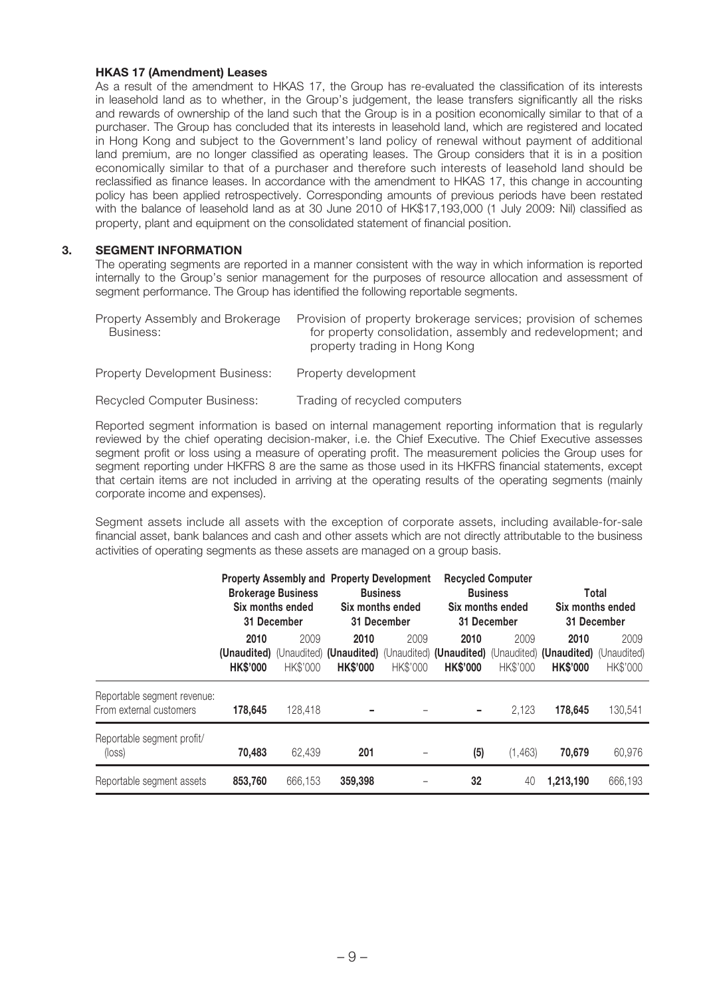#### **HKAS 17 (Amendment) Leases**

As a result of the amendment to HKAS 17, the Group has re-evaluated the classification of its interests in leasehold land as to whether, in the Group's judgement, the lease transfers significantly all the risks and rewards of ownership of the land such that the Group is in a position economically similar to that of a purchaser. The Group has concluded that its interests in leasehold land, which are registered and located in Hong Kong and subject to the Government's land policy of renewal without payment of additional land premium, are no longer classified as operating leases. The Group considers that it is in a position economically similar to that of a purchaser and therefore such interests of leasehold land should be reclassified as finance leases. In accordance with the amendment to HKAS 17, this change in accounting policy has been applied retrospectively. Corresponding amounts of previous periods have been restated with the balance of leasehold land as at 30 June 2010 of HK\$17,193,000 (1 July 2009: Nil) classified as property, plant and equipment on the consolidated statement of financial position.

#### **3. SEGMENT INFORMATION**

The operating segments are reported in a manner consistent with the way in which information is reported internally to the Group's senior management for the purposes of resource allocation and assessment of segment performance. The Group has identified the following reportable segments.

| Property Assembly and Brokerage<br>Business: | Provision of property brokerage services; provision of schemes<br>for property consolidation, assembly and redevelopment; and<br>property trading in Hong Kong |
|----------------------------------------------|----------------------------------------------------------------------------------------------------------------------------------------------------------------|
| <b>Property Development Business:</b>        | Property development                                                                                                                                           |

Recycled Computer Business: Trading of recycled computers

Reported segment information is based on internal management reporting information that is regularly reviewed by the chief operating decision-maker, i.e. the Chief Executive. The Chief Executive assesses segment profit or loss using a measure of operating profit. The measurement policies the Group uses for segment reporting under HKFRS 8 are the same as those used in its HKFRS financial statements, except that certain items are not included in arriving at the operating results of the operating segments (mainly corporate income and expenses).

Segment assets include all assets with the exception of corporate assets, including available-for-sale financial asset, bank balances and cash and other assets which are not directly attributable to the business activities of operating segments as these assets are managed on a group basis.

|                                                        |                         | <b>Brokerage Business</b><br>Six months ended<br>31 December | <b>Property Assembly and Property Development</b><br><b>Business</b><br>Six months ended<br>31 December |                  | <b>Recycled Computer</b><br><b>Business</b><br>Six months ended<br>31 December                                             |                  | Total<br>Six months ended<br>31 December |                  |
|--------------------------------------------------------|-------------------------|--------------------------------------------------------------|---------------------------------------------------------------------------------------------------------|------------------|----------------------------------------------------------------------------------------------------------------------------|------------------|------------------------------------------|------------------|
|                                                        | 2010<br><b>HK\$'000</b> | 2009<br>HK\$'000                                             | 2010<br><b>HK\$'000</b>                                                                                 | 2009<br>HK\$'000 | 2010<br>(Unaudited) (Unaudited) (Unaudited) (Unaudited) (Unaudited) (Unaudited) (Unaudited) (Unaudited)<br><b>HK\$'000</b> | 2009<br>HK\$'000 | 2010<br><b>HK\$'000</b>                  | 2009<br>HK\$'000 |
| Reportable segment revenue:<br>From external customers | 178.645                 | 128,418                                                      |                                                                                                         |                  |                                                                                                                            | 2,123            | 178,645                                  | 130,541          |
| Reportable segment profit/<br>$(\text{loss})$          | 70.483                  | 62.439                                                       | 201                                                                                                     |                  | (5)                                                                                                                        | (1, 463)         | 70.679                                   | 60,976           |
| Reportable segment assets                              | 853,760                 | 666.153                                                      | 359,398                                                                                                 |                  | 32                                                                                                                         | 40               | 1,213,190                                | 666,193          |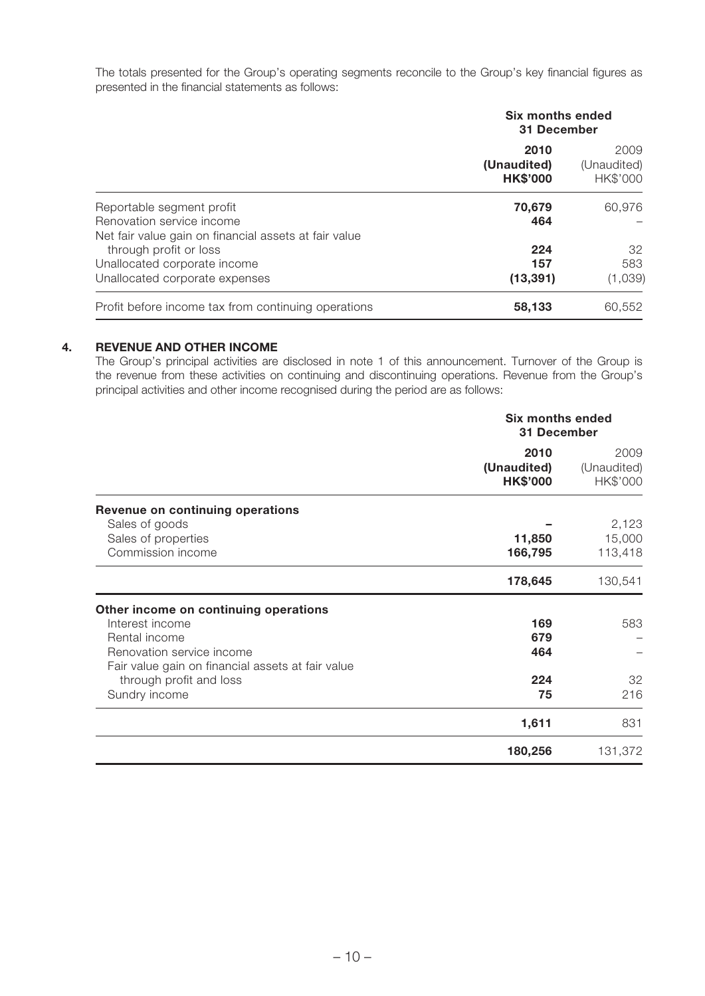The totals presented for the Group's operating segments reconcile to the Group's key financial figures as presented in the financial statements as follows:

|                                                       | Six months ended<br>31 December        |                                 |  |
|-------------------------------------------------------|----------------------------------------|---------------------------------|--|
|                                                       | 2010<br>(Unaudited)<br><b>HK\$'000</b> | 2009<br>(Unaudited)<br>HK\$'000 |  |
| Reportable segment profit                             | 70,679                                 | 60,976                          |  |
| Renovation service income                             | 464                                    |                                 |  |
| Net fair value gain on financial assets at fair value |                                        |                                 |  |
| through profit or loss                                | 224                                    | 32                              |  |
| Unallocated corporate income                          | 157                                    | 583                             |  |
| Unallocated corporate expenses                        | (13, 391)                              | (1,039)                         |  |
| Profit before income tax from continuing operations   | 58,133                                 | 60.552                          |  |

#### **4. REVENUE AND OTHER INCOME**

The Group's principal activities are disclosed in note 1 of this announcement. Turnover of the Group is the revenue from these activities on continuing and discontinuing operations. Revenue from the Group's principal activities and other income recognised during the period are as follows:

|                                                   | <b>Six months ended</b><br>31 December |                                 |
|---------------------------------------------------|----------------------------------------|---------------------------------|
|                                                   | 2010<br>(Unaudited)<br><b>HK\$'000</b> | 2009<br>(Unaudited)<br>HK\$'000 |
| Revenue on continuing operations                  |                                        |                                 |
| Sales of goods                                    |                                        | 2,123                           |
| Sales of properties                               | 11,850                                 | 15,000                          |
| Commission income                                 | 166,795                                | 113,418                         |
|                                                   | 178,645                                | 130,541                         |
| Other income on continuing operations             |                                        |                                 |
| Interest income                                   | 169                                    | 583                             |
| Rental income                                     | 679                                    |                                 |
| Renovation service income                         | 464                                    |                                 |
| Fair value gain on financial assets at fair value |                                        |                                 |
| through profit and loss                           | 224                                    | 32                              |
| Sundry income                                     | 75                                     | 216                             |
|                                                   | 1,611                                  | 831                             |
|                                                   | 180,256                                | 131,372                         |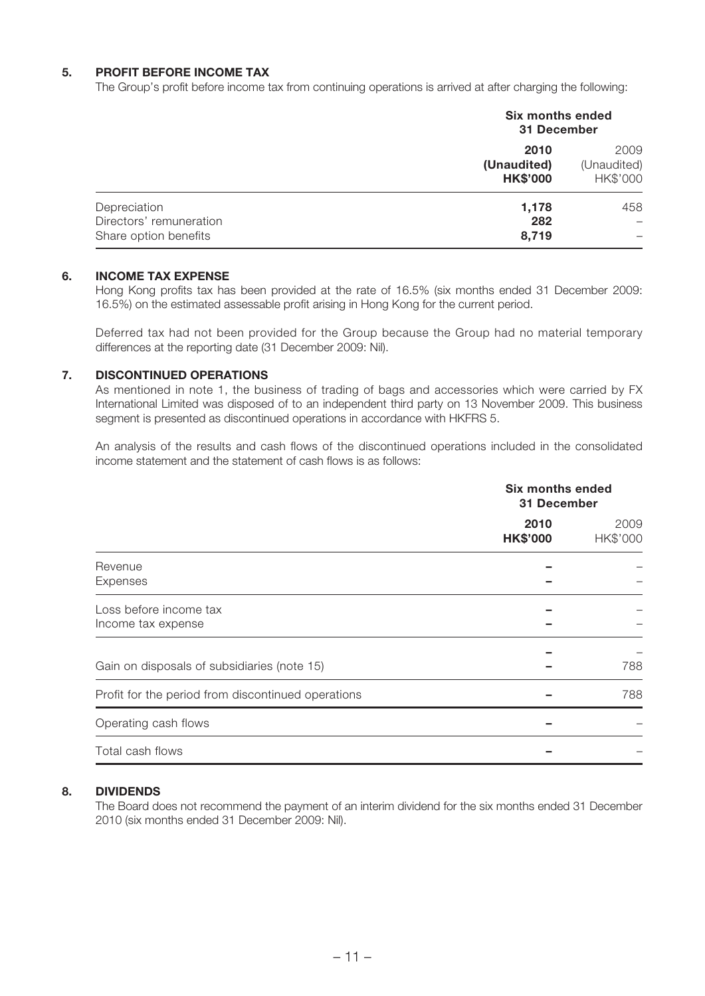#### **5. PROFIT BEFORE INCOME TAX**

The Group's profit before income tax from continuing operations is arrived at after charging the following:

|                                                                  | <b>Six months ended</b><br>31 December |                                 |  |
|------------------------------------------------------------------|----------------------------------------|---------------------------------|--|
|                                                                  | 2010<br>(Unaudited)<br><b>HK\$'000</b> | 2009<br>(Unaudited)<br>HK\$'000 |  |
| Depreciation<br>Directors' remuneration<br>Share option benefits | 1,178<br>282<br>8,719                  | 458                             |  |

#### **6. INCOME TAX EXPENSE**

Hong Kong profits tax has been provided at the rate of 16.5% (six months ended 31 December 2009: 16.5%) on the estimated assessable profit arising in Hong Kong for the current period.

Deferred tax had not been provided for the Group because the Group had no material temporary differences at the reporting date (31 December 2009: Nil).

#### **7. DISCONTINUED OPERATIONS**

As mentioned in note 1, the business of trading of bags and accessories which were carried by FX International Limited was disposed of to an independent third party on 13 November 2009. This business segment is presented as discontinued operations in accordance with HKFRS 5.

An analysis of the results and cash flows of the discontinued operations included in the consolidated income statement and the statement of cash flows is as follows:

|                                                    | Six months ended<br>31 December |                  |
|----------------------------------------------------|---------------------------------|------------------|
|                                                    | 2010<br><b>HK\$'000</b>         | 2009<br>HK\$'000 |
| Revenue<br>Expenses                                |                                 |                  |
| Loss before income tax<br>Income tax expense       |                                 |                  |
| Gain on disposals of subsidiaries (note 15)        |                                 | 788              |
| Profit for the period from discontinued operations |                                 | 788              |
| Operating cash flows                               |                                 |                  |
| Total cash flows                                   |                                 |                  |

#### **8. DIVIDENDS**

The Board does not recommend the payment of an interim dividend for the six months ended 31 December 2010 (six months ended 31 December 2009: Nil).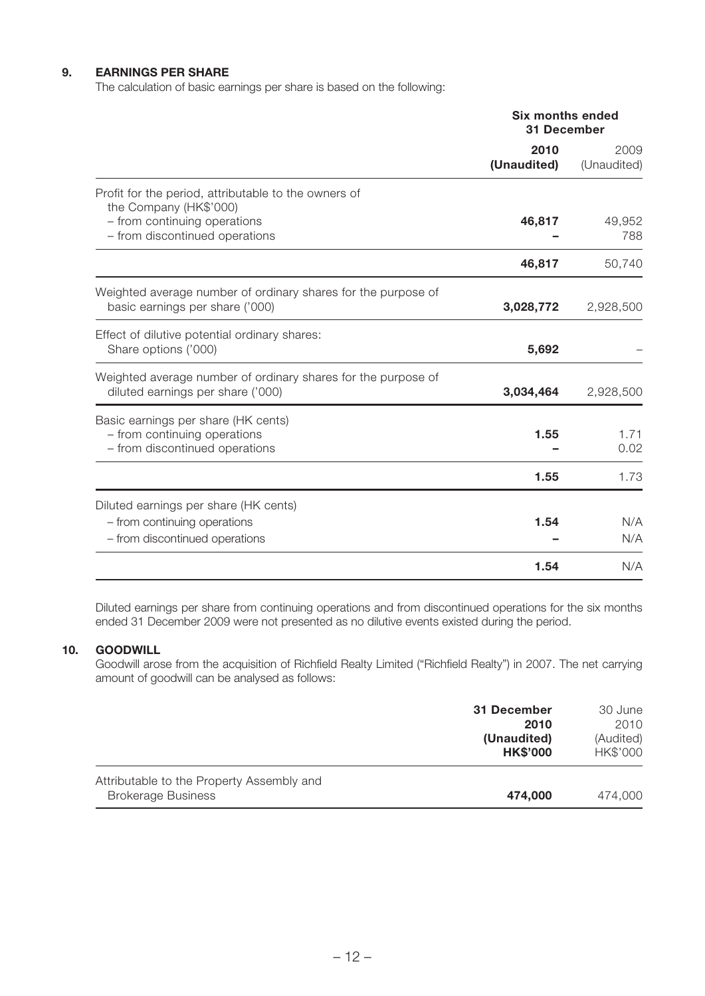#### **9. EARNINGS PER SHARE**

The calculation of basic earnings per share is based on the following:

|                                                                                                                                                  | <b>Six months ended</b><br>31 December |                     |
|--------------------------------------------------------------------------------------------------------------------------------------------------|----------------------------------------|---------------------|
|                                                                                                                                                  | 2010<br>(Unaudited)                    | 2009<br>(Unaudited) |
| Profit for the period, attributable to the owners of<br>the Company (HK\$'000)<br>- from continuing operations<br>- from discontinued operations | 46,817                                 | 49,952<br>788       |
|                                                                                                                                                  | 46,817                                 | 50,740              |
| Weighted average number of ordinary shares for the purpose of<br>basic earnings per share ('000)                                                 | 3,028,772                              | 2,928,500           |
| Effect of dilutive potential ordinary shares:<br>Share options ('000)                                                                            | 5,692                                  |                     |
| Weighted average number of ordinary shares for the purpose of<br>diluted earnings per share ('000)                                               | 3,034,464                              | 2,928,500           |
| Basic earnings per share (HK cents)<br>- from continuing operations<br>- from discontinued operations                                            | 1.55                                   | 1.71<br>0.02        |
|                                                                                                                                                  | 1.55                                   | 1.73                |
| Diluted earnings per share (HK cents)<br>- from continuing operations<br>- from discontinued operations                                          | 1.54                                   | N/A<br>N/A          |
|                                                                                                                                                  | 1.54                                   | N/A                 |

Diluted earnings per share from continuing operations and from discontinued operations for the six months ended 31 December 2009 were not presented as no dilutive events existed during the period.

#### **10. GOODWILL**

Goodwill arose from the acquisition of Richfield Realty Limited ("Richfield Realty") in 2007. The net carrying amount of goodwill can be analysed as follows:

|                                                                        | 31 December<br>2010<br>(Unaudited)<br><b>HK\$'000</b> | 30 June<br>2010<br>(Audited)<br>HK\$'000 |
|------------------------------------------------------------------------|-------------------------------------------------------|------------------------------------------|
| Attributable to the Property Assembly and<br><b>Brokerage Business</b> | 474,000                                               | 474,000                                  |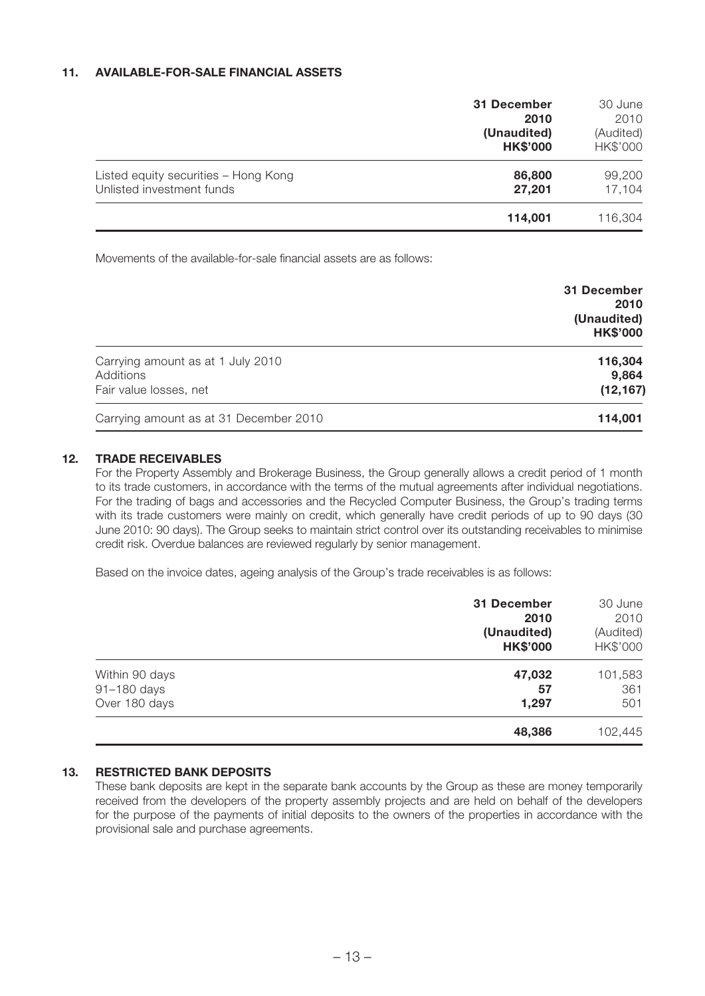#### **11. AVAILABLE-FOR-SALE FINANCIAL ASSETS**

|                                                                   | 31 December<br>2010<br>(Unaudited)<br><b>HK\$'000</b> | 30 June<br>2010<br>(Audited)<br>HK\$'000 |
|-------------------------------------------------------------------|-------------------------------------------------------|------------------------------------------|
| Listed equity securities - Hong Kong<br>Unlisted investment funds | 86,800<br>27,201                                      | 99,200<br>17,104                         |
|                                                                   | 114,001                                               | 116,304                                  |

Movements of the available-for-sale financial assets are as follows:

|                                        | 31 December<br>2010<br>(Unaudited)<br><b>HK\$'000</b> |
|----------------------------------------|-------------------------------------------------------|
| Carrying amount as at 1 July 2010      | 116,304                                               |
| Additions                              | 9,864                                                 |
| Fair value losses, net                 | (12, 167)                                             |
| Carrying amount as at 31 December 2010 | 114,001                                               |

#### **12. TRADE RECEIVABLES**

For the Property Assembly and Brokerage Business, the Group generally allows a credit period of 1 month to its trade customers, in accordance with the terms of the mutual agreements after individual negotiations. For the trading of bags and accessories and the Recycled Computer Business, the Group's trading terms with its trade customers were mainly on credit, which generally have credit periods of up to 90 days (30 June 2010: 90 days). The Group seeks to maintain strict control over its outstanding receivables to minimise credit risk. Overdue balances are reviewed regularly by senior management.

Based on the invoice dates, ageing analysis of the Group's trade receivables is as follows:

|                | 31 December<br>2010<br>(Unaudited)<br><b>HK\$'000</b> | 30 June<br>2010<br>(Audited)<br>HK\$'000 |
|----------------|-------------------------------------------------------|------------------------------------------|
| Within 90 days | 47,032                                                | 101,583                                  |
| 91-180 days    | 57                                                    | 361                                      |
| Over 180 days  | 1,297                                                 | 501                                      |
|                | 48,386                                                | 102,445                                  |

#### **13. RESTRICTED BANK DEPOSITS**

These bank deposits are kept in the separate bank accounts by the Group as these are money temporarily received from the developers of the property assembly projects and are held on behalf of the developers for the purpose of the payments of initial deposits to the owners of the properties in accordance with the provisional sale and purchase agreements.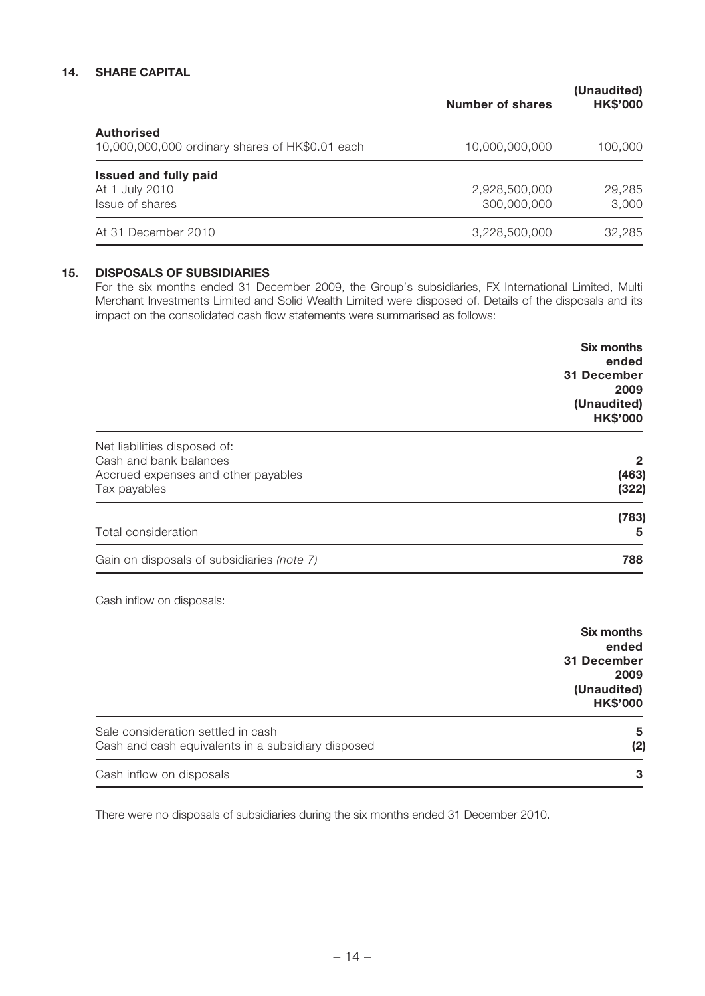#### **14. SHARE CAPITAL**

|                                                                      | Number of shares | (Unaudited)<br><b>HK\$'000</b> |
|----------------------------------------------------------------------|------------------|--------------------------------|
| <b>Authorised</b><br>10,000,000,000 ordinary shares of HK\$0.01 each | 10,000,000,000   | 100,000                        |
| <b>Issued and fully paid</b>                                         |                  |                                |
| At 1 July 2010                                                       | 2,928,500,000    | 29,285                         |
| Issue of shares                                                      | 300,000,000      | 3,000                          |
| At 31 December 2010                                                  | 3,228,500,000    | 32,285                         |

#### **15. DISPOSALS OF SUBSIDIARIES**

For the six months ended 31 December 2009, the Group's subsidiaries, FX International Limited, Multi Merchant Investments Limited and Solid Wealth Limited were disposed of. Details of the disposals and its impact on the consolidated cash flow statements were summarised as follows:

|                                                                               | <b>Six months</b>                                  |
|-------------------------------------------------------------------------------|----------------------------------------------------|
|                                                                               | ended<br><b>31 December</b><br>2009<br>(Unaudited) |
|                                                                               | <b>HK\$'000</b>                                    |
| Net liabilities disposed of:                                                  |                                                    |
| Cash and bank balances<br>Accrued expenses and other payables<br>Tax payables | $\mathbf{2}$<br>(463)<br>(322)                     |
| Total consideration                                                           | (783)<br>5                                         |
| Gain on disposals of subsidiaries (note 7)                                    | 788                                                |

Cash inflow on disposals:

|                                                                                          | <b>Six months</b><br>ended<br>31 December<br>2009<br>(Unaudited)<br><b>HK\$'000</b> |
|------------------------------------------------------------------------------------------|-------------------------------------------------------------------------------------|
| Sale consideration settled in cash<br>Cash and cash equivalents in a subsidiary disposed | 5<br>(2)                                                                            |
| Cash inflow on disposals                                                                 | 3                                                                                   |

There were no disposals of subsidiaries during the six months ended 31 December 2010.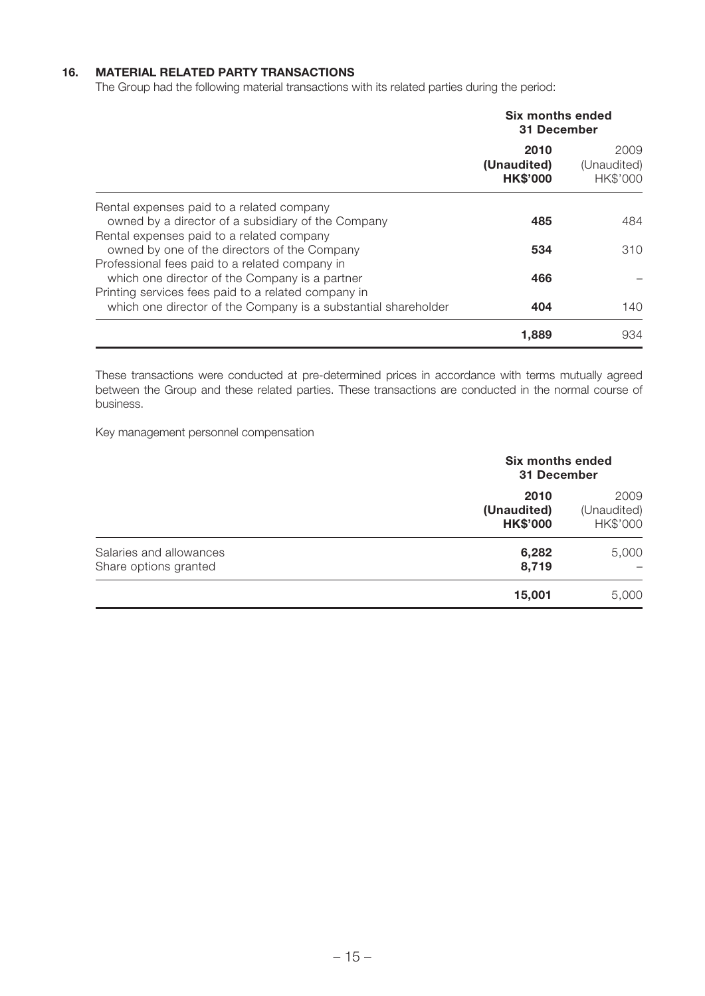#### **16. MATERIAL RELATED PARTY TRANSACTIONS**

The Group had the following material transactions with its related parties during the period:

|                                                                | Six months ended<br>31 December        |                                 |
|----------------------------------------------------------------|----------------------------------------|---------------------------------|
|                                                                | 2010<br>(Unaudited)<br><b>HK\$'000</b> | 2009<br>(Unaudited)<br>HK\$'000 |
| Rental expenses paid to a related company                      |                                        |                                 |
| owned by a director of a subsidiary of the Company             | 485                                    | 484                             |
| Rental expenses paid to a related company                      |                                        |                                 |
| owned by one of the directors of the Company                   | 534                                    | 310                             |
| Professional fees paid to a related company in                 |                                        |                                 |
| which one director of the Company is a partner                 | 466                                    |                                 |
| Printing services fees paid to a related company in            |                                        |                                 |
| which one director of the Company is a substantial shareholder | 404                                    | 140.                            |
|                                                                | 1,889                                  | 934                             |

These transactions were conducted at pre-determined prices in accordance with terms mutually agreed between the Group and these related parties. These transactions are conducted in the normal course of business.

Key management personnel compensation

|                                                  | <b>Six months ended</b><br>31 December |                                 |
|--------------------------------------------------|----------------------------------------|---------------------------------|
|                                                  | 2010<br>(Unaudited)<br><b>HK\$'000</b> | 2009<br>(Unaudited)<br>HK\$'000 |
| Salaries and allowances<br>Share options granted | 6,282<br>8,719                         | 5,000                           |
|                                                  | 15,001                                 | 5,000                           |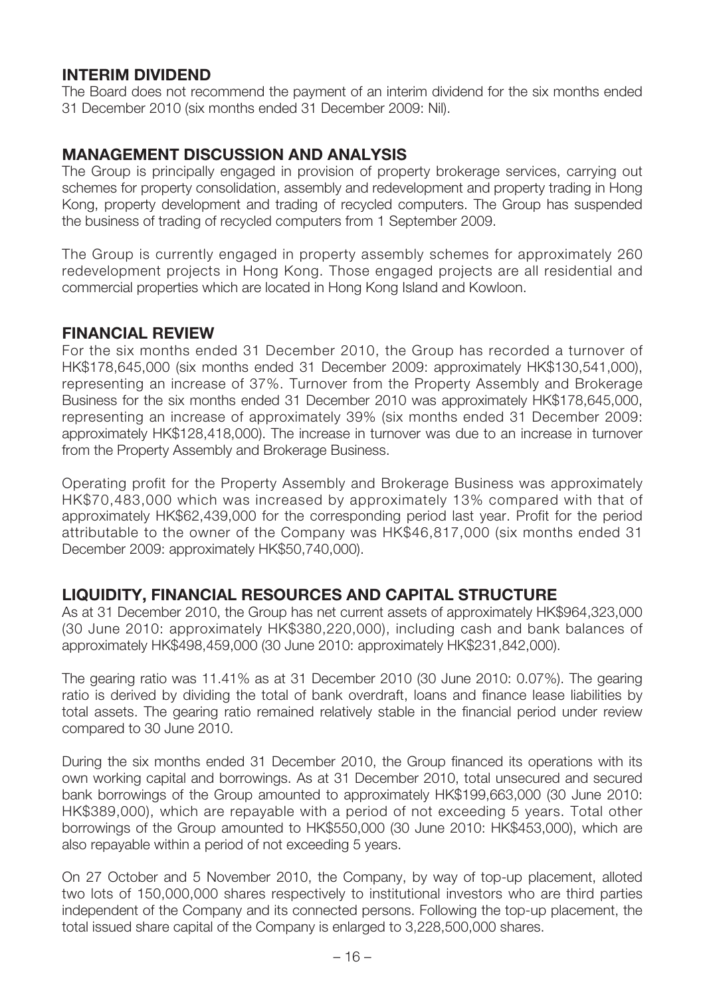### **INTERIM DIVIDEND**

The Board does not recommend the payment of an interim dividend for the six months ended 31 December 2010 (six months ended 31 December 2009: Nil).

# **MANAGEMENT DISCUSSION AND ANALYSIS**

The Group is principally engaged in provision of property brokerage services, carrying out schemes for property consolidation, assembly and redevelopment and property trading in Hong Kong, property development and trading of recycled computers. The Group has suspended the business of trading of recycled computers from 1 September 2009.

The Group is currently engaged in property assembly schemes for approximately 260 redevelopment projects in Hong Kong. Those engaged projects are all residential and commercial properties which are located in Hong Kong Island and Kowloon.

### **FINANCIAL REVIEW**

For the six months ended 31 December 2010, the Group has recorded a turnover of HK\$178,645,000 (six months ended 31 December 2009: approximately HK\$130,541,000), representing an increase of 37%. Turnover from the Property Assembly and Brokerage Business for the six months ended 31 December 2010 was approximately HK\$178,645,000, representing an increase of approximately 39% (six months ended 31 December 2009: approximately HK\$128,418,000). The increase in turnover was due to an increase in turnover from the Property Assembly and Brokerage Business.

Operating profit for the Property Assembly and Brokerage Business was approximately HK\$70,483,000 which was increased by approximately 13% compared with that of approximately HK\$62,439,000 for the corresponding period last year. Profit for the period attributable to the owner of the Company was HK\$46,817,000 (six months ended 31 December 2009: approximately HK\$50,740,000).

# **LIQUIDITY, FINANCIAL RESOURCES AND CAPITAL STRUCTURE**

As at 31 December 2010, the Group has net current assets of approximately HK\$964,323,000 (30 June 2010: approximately HK\$380,220,000), including cash and bank balances of approximately HK\$498,459,000 (30 June 2010: approximately HK\$231,842,000).

The gearing ratio was 11.41% as at 31 December 2010 (30 June 2010: 0.07%). The gearing ratio is derived by dividing the total of bank overdraft, loans and finance lease liabilities by total assets. The gearing ratio remained relatively stable in the financial period under review compared to 30 June 2010.

During the six months ended 31 December 2010, the Group financed its operations with its own working capital and borrowings. As at 31 December 2010, total unsecured and secured bank borrowings of the Group amounted to approximately HK\$199,663,000 (30 June 2010: HK\$389,000), which are repayable with a period of not exceeding 5 years. Total other borrowings of the Group amounted to HK\$550,000 (30 June 2010: HK\$453,000), which are also repayable within a period of not exceeding 5 years.

On 27 October and 5 November 2010, the Company, by way of top-up placement, alloted two lots of 150,000,000 shares respectively to institutional investors who are third parties independent of the Company and its connected persons. Following the top-up placement, the total issued share capital of the Company is enlarged to 3,228,500,000 shares.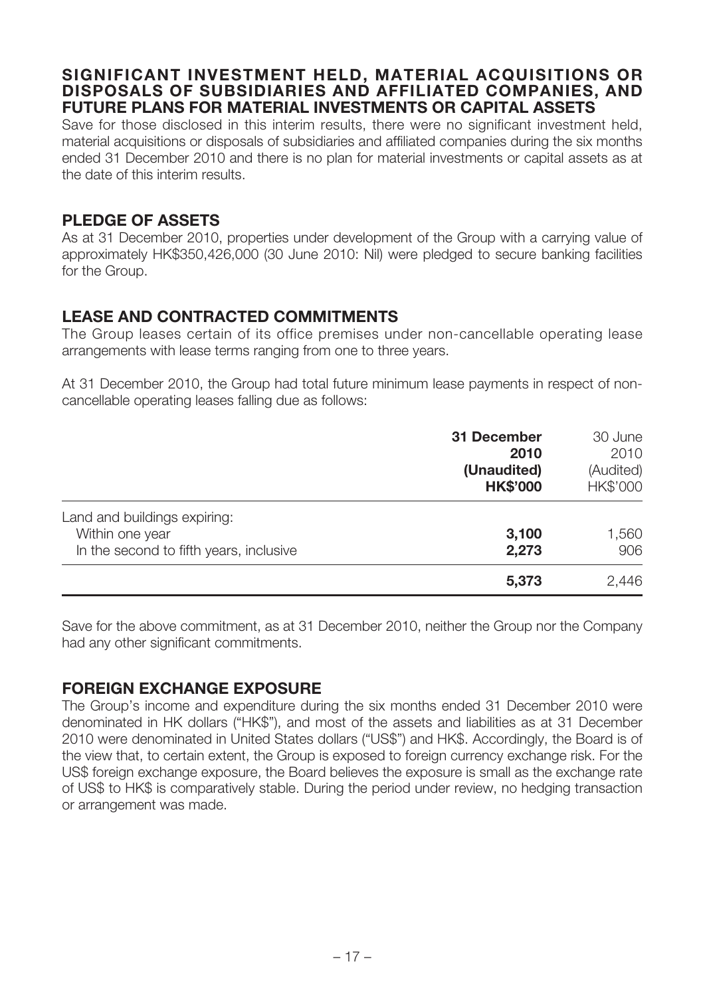### **SIGNIFICANT INVESTMENT HELD, MATERIAL ACQUISITIONS OR DISPOSALS OF SUBSIDIARIES AND AFFILIATED COMPANIES, AND FUTURE PLANS FOR MATERIAL INVESTMENTS OR CAPITAL ASSETS**

Save for those disclosed in this interim results, there were no significant investment held, material acquisitions or disposals of subsidiaries and affiliated companies during the six months ended 31 December 2010 and there is no plan for material investments or capital assets as at the date of this interim results.

### **PLEDGE OF ASSETS**

As at 31 December 2010, properties under development of the Group with a carrying value of approximately HK\$350,426,000 (30 June 2010: Nil) were pledged to secure banking facilities for the Group.

### **LEASE AND CONTRACTED COMMITMENTS**

The Group leases certain of its office premises under non-cancellable operating lease arrangements with lease terms ranging from one to three years.

At 31 December 2010, the Group had total future minimum lease payments in respect of noncancellable operating leases falling due as follows:

|                                                                                            | 31 December<br>2010<br>(Unaudited)<br><b>HK\$'000</b> | 30 June<br>2010<br>(Audited)<br>HK\$'000 |
|--------------------------------------------------------------------------------------------|-------------------------------------------------------|------------------------------------------|
| Land and buildings expiring:<br>Within one year<br>In the second to fifth years, inclusive | 3,100<br>2,273                                        | 1,560<br>906                             |
|                                                                                            | 5,373                                                 | 2,446                                    |

Save for the above commitment, as at 31 December 2010, neither the Group nor the Company had any other significant commitments.

### **FOREIGN EXCHANGE EXPOSURE**

The Group's income and expenditure during the six months ended 31 December 2010 were denominated in HK dollars ("HK\$"), and most of the assets and liabilities as at 31 December 2010 were denominated in United States dollars ("US\$") and HK\$. Accordingly, the Board is of the view that, to certain extent, the Group is exposed to foreign currency exchange risk. For the US\$ foreign exchange exposure, the Board believes the exposure is small as the exchange rate of US\$ to HK\$ is comparatively stable. During the period under review, no hedging transaction or arrangement was made.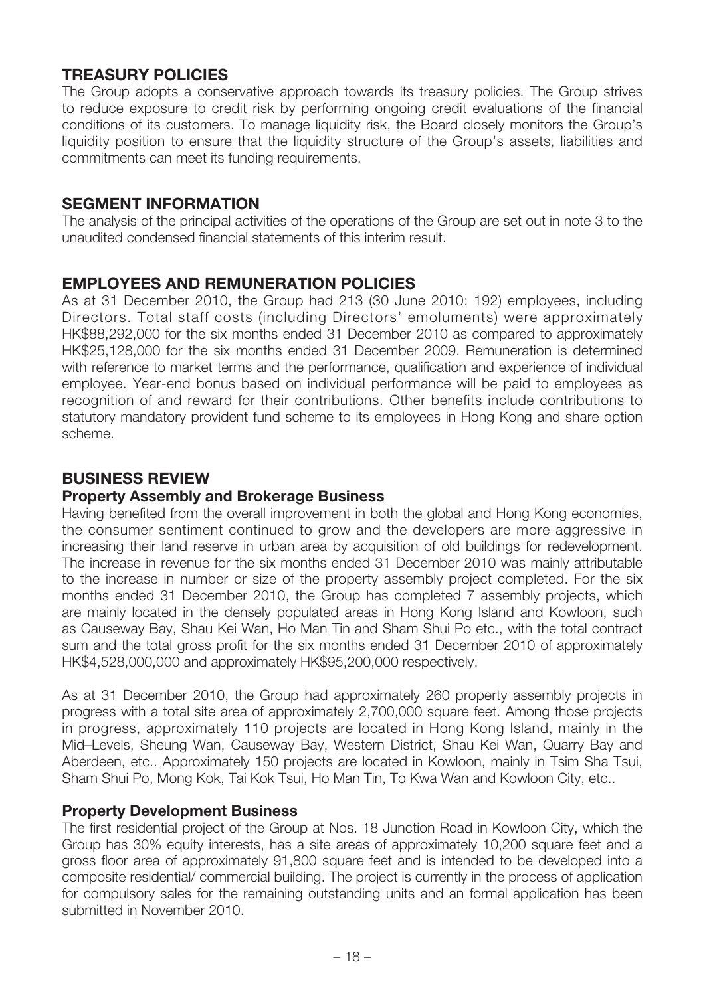# **TREASURY POLICIES**

The Group adopts a conservative approach towards its treasury policies. The Group strives to reduce exposure to credit risk by performing ongoing credit evaluations of the financial conditions of its customers. To manage liquidity risk, the Board closely monitors the Group's liquidity position to ensure that the liquidity structure of the Group's assets, liabilities and commitments can meet its funding requirements.

### **SEGMENT INFORMATION**

The analysis of the principal activities of the operations of the Group are set out in note 3 to the unaudited condensed financial statements of this interim result.

### **EMPLOYEES AND REMUNERATION POLICIES**

As at 31 December 2010, the Group had 213 (30 June 2010: 192) employees, including Directors. Total staff costs (including Directors' emoluments) were approximately HK\$88,292,000 for the six months ended 31 December 2010 as compared to approximately HK\$25,128,000 for the six months ended 31 December 2009. Remuneration is determined with reference to market terms and the performance, qualification and experience of individual employee. Year-end bonus based on individual performance will be paid to employees as recognition of and reward for their contributions. Other benefits include contributions to statutory mandatory provident fund scheme to its employees in Hong Kong and share option scheme.

# **BUSINESS REVIEW**

#### **Property Assembly and Brokerage Business**

Having benefited from the overall improvement in both the global and Hong Kong economies, the consumer sentiment continued to grow and the developers are more aggressive in increasing their land reserve in urban area by acquisition of old buildings for redevelopment. The increase in revenue for the six months ended 31 December 2010 was mainly attributable to the increase in number or size of the property assembly project completed. For the six months ended 31 December 2010, the Group has completed 7 assembly projects, which are mainly located in the densely populated areas in Hong Kong Island and Kowloon, such as Causeway Bay, Shau Kei Wan, Ho Man Tin and Sham Shui Po etc., with the total contract sum and the total gross profit for the six months ended 31 December 2010 of approximately HK\$4,528,000,000 and approximately HK\$95,200,000 respectively.

As at 31 December 2010, the Group had approximately 260 property assembly projects in progress with a total site area of approximately 2,700,000 square feet. Among those projects in progress, approximately 110 projects are located in Hong Kong Island, mainly in the Mid–Levels, Sheung Wan, Causeway Bay, Western District, Shau Kei Wan, Quarry Bay and Aberdeen, etc.. Approximately 150 projects are located in Kowloon, mainly in Tsim Sha Tsui, Sham Shui Po, Mong Kok, Tai Kok Tsui, Ho Man Tin, To Kwa Wan and Kowloon City, etc..

#### **Property Development Business**

The first residential project of the Group at Nos. 18 Junction Road in Kowloon City, which the Group has 30% equity interests, has a site areas of approximately 10,200 square feet and a gross floor area of approximately 91,800 square feet and is intended to be developed into a composite residential/ commercial building. The project is currently in the process of application for compulsory sales for the remaining outstanding units and an formal application has been submitted in November 2010.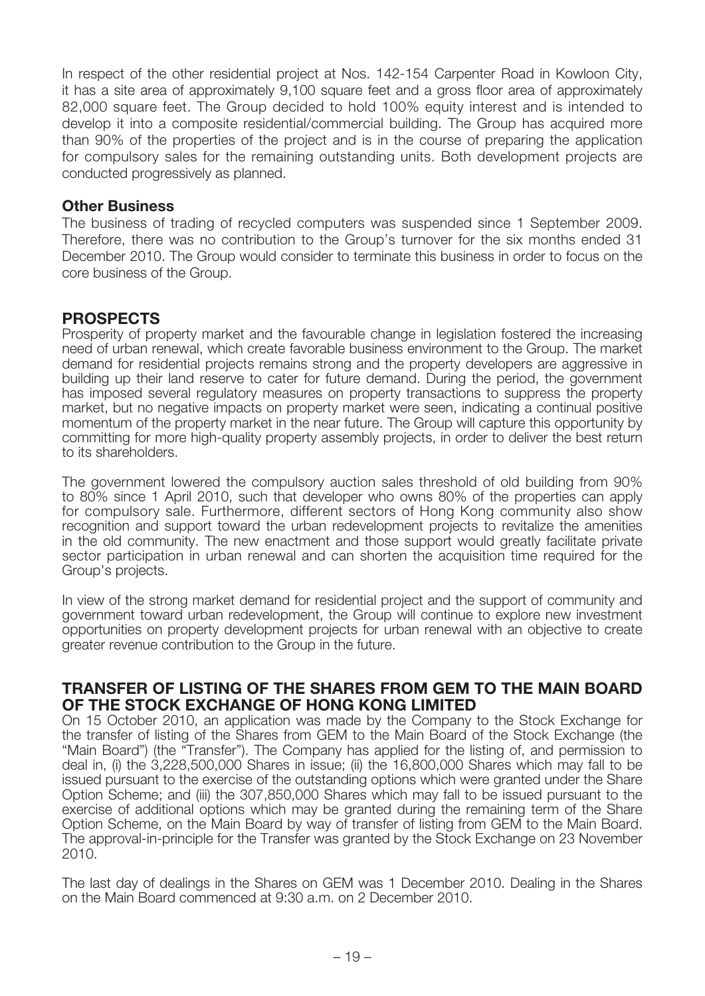In respect of the other residential project at Nos. 142-154 Carpenter Road in Kowloon City, it has a site area of approximately 9,100 square feet and a gross floor area of approximately 82,000 square feet. The Group decided to hold 100% equity interest and is intended to develop it into a composite residential/commercial building. The Group has acquired more than 90% of the properties of the project and is in the course of preparing the application for compulsory sales for the remaining outstanding units. Both development projects are conducted progressively as planned.

#### **Other Business**

The business of trading of recycled computers was suspended since 1 September 2009. Therefore, there was no contribution to the Group's turnover for the six months ended 31 December 2010. The Group would consider to terminate this business in order to focus on the core business of the Group.

### **PROSPECTS**

Prosperity of property market and the favourable change in legislation fostered the increasing need of urban renewal, which create favorable business environment to the Group. The market demand for residential projects remains strong and the property developers are aggressive in building up their land reserve to cater for future demand. During the period, the government has imposed several regulatory measures on property transactions to suppress the property market, but no negative impacts on property market were seen, indicating a continual positive momentum of the property market in the near future. The Group will capture this opportunity by committing for more high-quality property assembly projects, in order to deliver the best return to its shareholders.

The government lowered the compulsory auction sales threshold of old building from 90% to 80% since 1 April 2010, such that developer who owns 80% of the properties can apply for compulsory sale. Furthermore, different sectors of Hong Kong community also show recognition and support toward the urban redevelopment projects to revitalize the amenities in the old community. The new enactment and those support would greatly facilitate private sector participation in urban renewal and can shorten the acquisition time required for the Group's projects.

In view of the strong market demand for residential project and the support of community and government toward urban redevelopment, the Group will continue to explore new investment opportunities on property development projects for urban renewal with an objective to create greater revenue contribution to the Group in the future.

#### **TRANSFER OF LISTING OF THE SHARES FROM GEM TO THE MAIN BOARD OF THE STOCK EXCHANGE OF HONG KONG LIMITED**

On 15 October 2010, an application was made by the Company to the Stock Exchange for the transfer of listing of the Shares from GEM to the Main Board of the Stock Exchange (the "Main Board") (the "Transfer"). The Company has applied for the listing of, and permission to deal in, (i) the 3,228,500,000 Shares in issue; (ii) the 16,800,000 Shares which may fall to be issued pursuant to the exercise of the outstanding options which were granted under the Share Option Scheme; and (iii) the 307,850,000 Shares which may fall to be issued pursuant to the exercise of additional options which may be granted during the remaining term of the Share Option Scheme, on the Main Board by way of transfer of listing from GEM to the Main Board. The approval-in-principle for the Transfer was granted by the Stock Exchange on 23 November 2010.

The last day of dealings in the Shares on GEM was 1 December 2010. Dealing in the Shares on the Main Board commenced at 9:30 a.m. on 2 December 2010.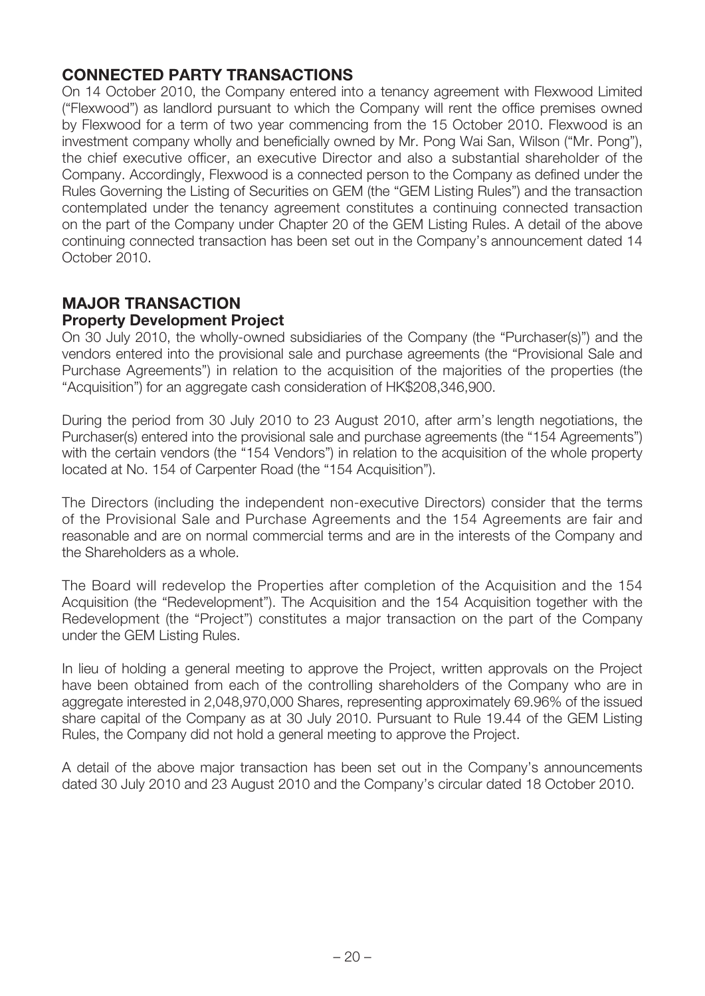# **CONNECTED PARTY TRANSACTIONS**

On 14 October 2010, the Company entered into a tenancy agreement with Flexwood Limited ("Flexwood") as landlord pursuant to which the Company will rent the office premises owned by Flexwood for a term of two year commencing from the 15 October 2010. Flexwood is an investment company wholly and beneficially owned by Mr. Pong Wai San, Wilson ("Mr. Pong"), the chief executive officer, an executive Director and also a substantial shareholder of the Company. Accordingly, Flexwood is a connected person to the Company as defined under the Rules Governing the Listing of Securities on GEM (the "GEM Listing Rules") and the transaction contemplated under the tenancy agreement constitutes a continuing connected transaction on the part of the Company under Chapter 20 of the GEM Listing Rules. A detail of the above continuing connected transaction has been set out in the Company's announcement dated 14 October 2010.

#### **MAJOR TRANSACTION Property Development Project**

On 30 July 2010, the wholly-owned subsidiaries of the Company (the "Purchaser(s)") and the vendors entered into the provisional sale and purchase agreements (the "Provisional Sale and Purchase Agreements") in relation to the acquisition of the majorities of the properties (the "Acquisition") for an aggregate cash consideration of HK\$208,346,900.

During the period from 30 July 2010 to 23 August 2010, after arm's length negotiations, the Purchaser(s) entered into the provisional sale and purchase agreements (the "154 Agreements") with the certain vendors (the "154 Vendors") in relation to the acquisition of the whole property located at No. 154 of Carpenter Road (the "154 Acquisition").

The Directors (including the independent non-executive Directors) consider that the terms of the Provisional Sale and Purchase Agreements and the 154 Agreements are fair and reasonable and are on normal commercial terms and are in the interests of the Company and the Shareholders as a whole.

The Board will redevelop the Properties after completion of the Acquisition and the 154 Acquisition (the "Redevelopment"). The Acquisition and the 154 Acquisition together with the Redevelopment (the "Project") constitutes a major transaction on the part of the Company under the GEM Listing Rules.

In lieu of holding a general meeting to approve the Project, written approvals on the Project have been obtained from each of the controlling shareholders of the Company who are in aggregate interested in 2,048,970,000 Shares, representing approximately 69.96% of the issued share capital of the Company as at 30 July 2010. Pursuant to Rule 19.44 of the GEM Listing Rules, the Company did not hold a general meeting to approve the Project.

A detail of the above major transaction has been set out in the Company's announcements dated 30 July 2010 and 23 August 2010 and the Company's circular dated 18 October 2010.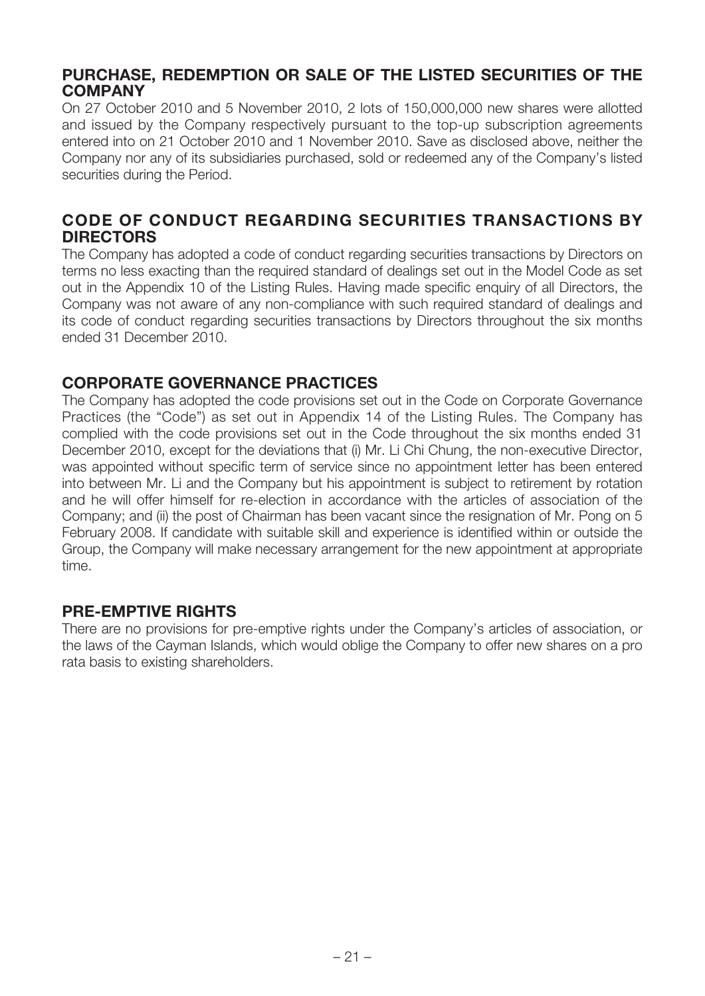### **PURCHASE, REDEMPTION OR SALE OF THE LISTED SECURITIES OF THE COMPANY**

On 27 October 2010 and 5 November 2010, 2 lots of 150,000,000 new shares were allotted and issued by the Company respectively pursuant to the top-up subscription agreements entered into on 21 October 2010 and 1 November 2010. Save as disclosed above, neither the Company nor any of its subsidiaries purchased, sold or redeemed any of the Company's listed securities during the Period.

### **CODE OF CONDUCT REGARDING SECURITIES TRANSACTIONS BY DIRECTORS**

The Company has adopted a code of conduct regarding securities transactions by Directors on terms no less exacting than the required standard of dealings set out in the Model Code as set out in the Appendix 10 of the Listing Rules. Having made specific enquiry of all Directors, the Company was not aware of any non-compliance with such required standard of dealings and its code of conduct regarding securities transactions by Directors throughout the six months ended 31 December 2010.

# **CORPORATE GOVERNANCE PRACTICES**

The Company has adopted the code provisions set out in the Code on Corporate Governance Practices (the "Code") as set out in Appendix 14 of the Listing Rules. The Company has complied with the code provisions set out in the Code throughout the six months ended 31 December 2010, except for the deviations that (i) Mr. Li Chi Chung, the non-executive Director, was appointed without specific term of service since no appointment letter has been entered into between Mr. Li and the Company but his appointment is subject to retirement by rotation and he will offer himself for re-election in accordance with the articles of association of the Company; and (ii) the post of Chairman has been vacant since the resignation of Mr. Pong on 5 February 2008. If candidate with suitable skill and experience is identified within or outside the Group, the Company will make necessary arrangement for the new appointment at appropriate time.

### **PRE-EMPTIVE RIGHTS**

There are no provisions for pre-emptive rights under the Company's articles of association, or the laws of the Cayman Islands, which would oblige the Company to offer new shares on a pro rata basis to existing shareholders.